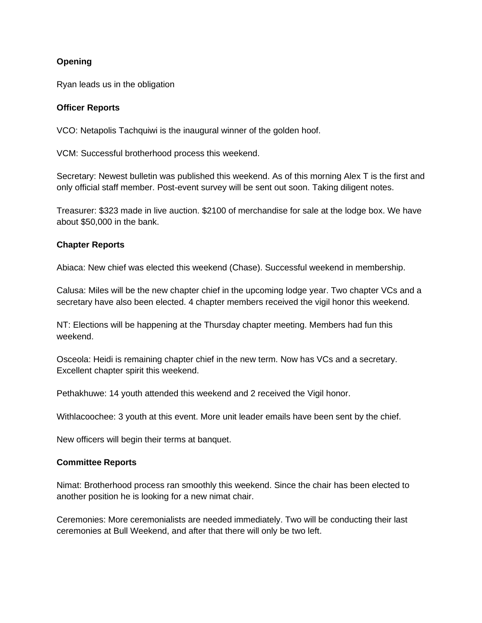# **Opening**

Ryan leads us in the obligation

#### **Officer Reports**

VCO: Netapolis Tachquiwi is the inaugural winner of the golden hoof.

VCM: Successful brotherhood process this weekend.

Secretary: Newest bulletin was published this weekend. As of this morning Alex T is the first and only official staff member. Post-event survey will be sent out soon. Taking diligent notes.

Treasurer: \$323 made in live auction. \$2100 of merchandise for sale at the lodge box. We have about \$50,000 in the bank.

#### **Chapter Reports**

Abiaca: New chief was elected this weekend (Chase). Successful weekend in membership.

Calusa: Miles will be the new chapter chief in the upcoming lodge year. Two chapter VCs and a secretary have also been elected. 4 chapter members received the vigil honor this weekend.

NT: Elections will be happening at the Thursday chapter meeting. Members had fun this weekend.

Osceola: Heidi is remaining chapter chief in the new term. Now has VCs and a secretary. Excellent chapter spirit this weekend.

Pethakhuwe: 14 youth attended this weekend and 2 received the Vigil honor.

Withlacoochee: 3 youth at this event. More unit leader emails have been sent by the chief.

New officers will begin their terms at banquet.

## **Committee Reports**

Nimat: Brotherhood process ran smoothly this weekend. Since the chair has been elected to another position he is looking for a new nimat chair.

Ceremonies: More ceremonialists are needed immediately. Two will be conducting their last ceremonies at Bull Weekend, and after that there will only be two left.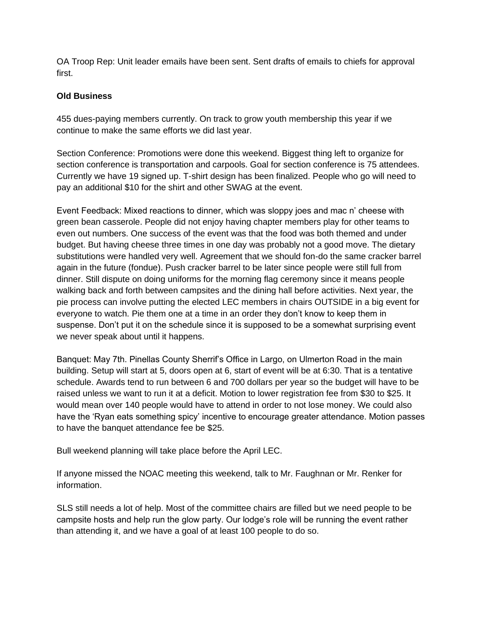OA Troop Rep: Unit leader emails have been sent. Sent drafts of emails to chiefs for approval first.

# **Old Business**

455 dues-paying members currently. On track to grow youth membership this year if we continue to make the same efforts we did last year.

Section Conference: Promotions were done this weekend. Biggest thing left to organize for section conference is transportation and carpools. Goal for section conference is 75 attendees. Currently we have 19 signed up. T-shirt design has been finalized. People who go will need to pay an additional \$10 for the shirt and other SWAG at the event.

Event Feedback: Mixed reactions to dinner, which was sloppy joes and mac n' cheese with green bean casserole. People did not enjoy having chapter members play for other teams to even out numbers. One success of the event was that the food was both themed and under budget. But having cheese three times in one day was probably not a good move. The dietary substitutions were handled very well. Agreement that we should fon-do the same cracker barrel again in the future (fondue). Push cracker barrel to be later since people were still full from dinner. Still dispute on doing uniforms for the morning flag ceremony since it means people walking back and forth between campsites and the dining hall before activities. Next year, the pie process can involve putting the elected LEC members in chairs OUTSIDE in a big event for everyone to watch. Pie them one at a time in an order they don't know to keep them in suspense. Don't put it on the schedule since it is supposed to be a somewhat surprising event we never speak about until it happens.

Banquet: May 7th. Pinellas County Sherrif's Office in Largo, on Ulmerton Road in the main building. Setup will start at 5, doors open at 6, start of event will be at 6:30. That is a tentative schedule. Awards tend to run between 6 and 700 dollars per year so the budget will have to be raised unless we want to run it at a deficit. Motion to lower registration fee from \$30 to \$25. It would mean over 140 people would have to attend in order to not lose money. We could also have the 'Ryan eats something spicy' incentive to encourage greater attendance. Motion passes to have the banquet attendance fee be \$25.

Bull weekend planning will take place before the April LEC.

If anyone missed the NOAC meeting this weekend, talk to Mr. Faughnan or Mr. Renker for information.

SLS still needs a lot of help. Most of the committee chairs are filled but we need people to be campsite hosts and help run the glow party. Our lodge's role will be running the event rather than attending it, and we have a goal of at least 100 people to do so.